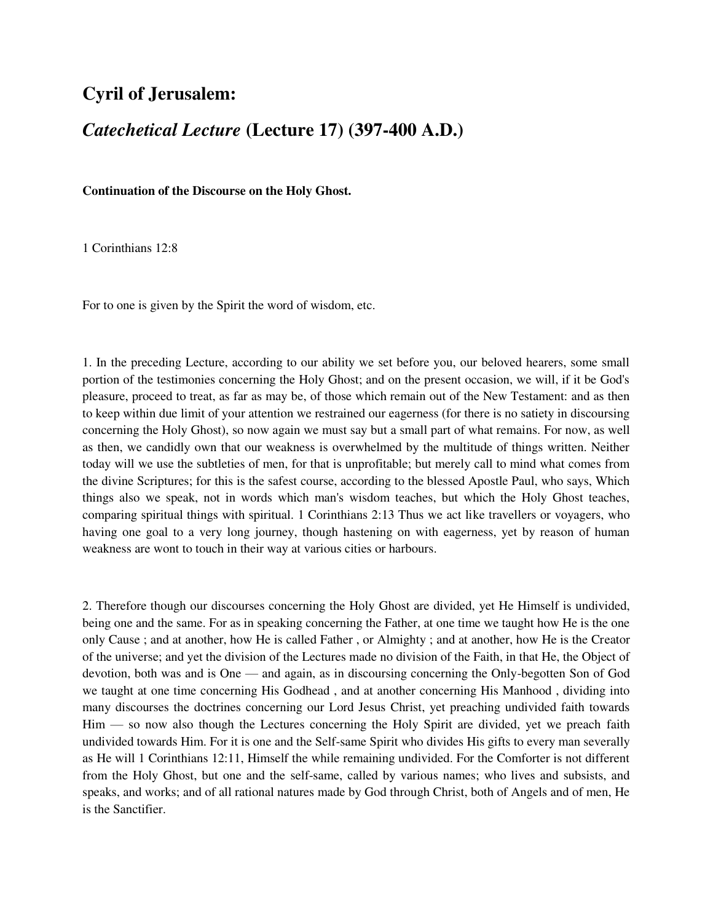## **Cyril of Jerusalem:**

## *Catechetical Lecture* **(Lecture 17) (397-400 A.D.)**

**Continuation of the Discourse on the Holy Ghost.** 

1 Corinthians 12:8

For to one is given by the Spirit the word of wisdom, etc.

1. In the preceding Lecture, according to our ability we set before you, our beloved hearers, some small portion of the testimonies concerning the Holy Ghost; and on the present occasion, we will, if it be God's pleasure, proceed to treat, as far as may be, of those which remain out of the New Testament: and as then to keep within due limit of your attention we restrained our eagerness (for there is no satiety in discoursing concerning the Holy Ghost), so now again we must say but a small part of what remains. For now, as well as then, we candidly own that our weakness is overwhelmed by the multitude of things written. Neither today will we use the subtleties of men, for that is unprofitable; but merely call to mind what comes from the divine Scriptures; for this is the safest course, according to the blessed Apostle Paul, who says, Which things also we speak, not in words which man's wisdom teaches, but which the Holy Ghost teaches, comparing spiritual things with spiritual. 1 Corinthians 2:13 Thus we act like travellers or voyagers, who having one goal to a very long journey, though hastening on with eagerness, yet by reason of human weakness are wont to touch in their way at various cities or harbours.

2. Therefore though our discourses concerning the Holy Ghost are divided, yet He Himself is undivided, being one and the same. For as in speaking concerning the Father, at one time we taught how He is the one only Cause ; and at another, how He is called Father , or Almighty ; and at another, how He is the Creator of the universe; and yet the division of the Lectures made no division of the Faith, in that He, the Object of devotion, both was and is One — and again, as in discoursing concerning the Only-begotten Son of God we taught at one time concerning His Godhead , and at another concerning His Manhood , dividing into many discourses the doctrines concerning our Lord Jesus Christ, yet preaching undivided faith towards Him — so now also though the Lectures concerning the Holy Spirit are divided, yet we preach faith undivided towards Him. For it is one and the Self-same Spirit who divides His gifts to every man severally as He will 1 Corinthians 12:11, Himself the while remaining undivided. For the Comforter is not different from the Holy Ghost, but one and the self-same, called by various names; who lives and subsists, and speaks, and works; and of all rational natures made by God through Christ, both of Angels and of men, He is the Sanctifier.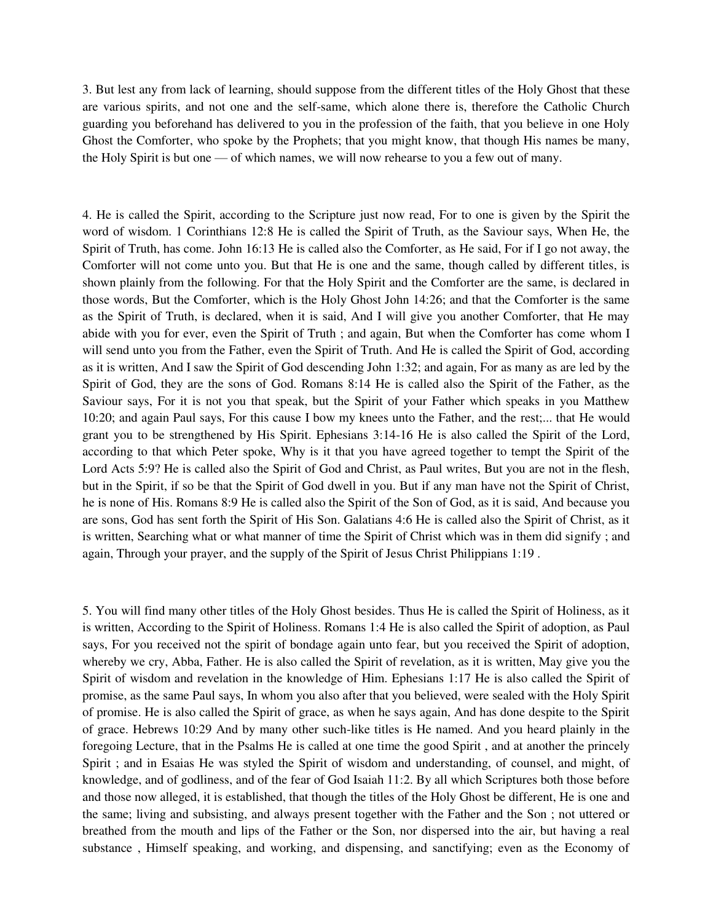3. But lest any from lack of learning, should suppose from the different titles of the Holy Ghost that these are various spirits, and not one and the self-same, which alone there is, therefore the Catholic Church guarding you beforehand has delivered to you in the profession of the faith, that you believe in one Holy Ghost the Comforter, who spoke by the Prophets; that you might know, that though His names be many, the Holy Spirit is but one — of which names, we will now rehearse to you a few out of many.

4. He is called the Spirit, according to the Scripture just now read, For to one is given by the Spirit the word of wisdom. 1 Corinthians 12:8 He is called the Spirit of Truth, as the Saviour says, When He, the Spirit of Truth, has come. John 16:13 He is called also the Comforter, as He said, For if I go not away, the Comforter will not come unto you. But that He is one and the same, though called by different titles, is shown plainly from the following. For that the Holy Spirit and the Comforter are the same, is declared in those words, But the Comforter, which is the Holy Ghost John 14:26; and that the Comforter is the same as the Spirit of Truth, is declared, when it is said, And I will give you another Comforter, that He may abide with you for ever, even the Spirit of Truth ; and again, But when the Comforter has come whom I will send unto you from the Father, even the Spirit of Truth. And He is called the Spirit of God, according as it is written, And I saw the Spirit of God descending John 1:32; and again, For as many as are led by the Spirit of God, they are the sons of God. Romans 8:14 He is called also the Spirit of the Father, as the Saviour says, For it is not you that speak, but the Spirit of your Father which speaks in you Matthew 10:20; and again Paul says, For this cause I bow my knees unto the Father, and the rest;... that He would grant you to be strengthened by His Spirit. Ephesians 3:14-16 He is also called the Spirit of the Lord, according to that which Peter spoke, Why is it that you have agreed together to tempt the Spirit of the Lord Acts 5:9? He is called also the Spirit of God and Christ, as Paul writes, But you are not in the flesh, but in the Spirit, if so be that the Spirit of God dwell in you. But if any man have not the Spirit of Christ, he is none of His. Romans 8:9 He is called also the Spirit of the Son of God, as it is said, And because you are sons, God has sent forth the Spirit of His Son. Galatians 4:6 He is called also the Spirit of Christ, as it is written, Searching what or what manner of time the Spirit of Christ which was in them did signify ; and again, Through your prayer, and the supply of the Spirit of Jesus Christ Philippians 1:19 .

5. You will find many other titles of the Holy Ghost besides. Thus He is called the Spirit of Holiness, as it is written, According to the Spirit of Holiness. Romans 1:4 He is also called the Spirit of adoption, as Paul says, For you received not the spirit of bondage again unto fear, but you received the Spirit of adoption, whereby we cry, Abba, Father. He is also called the Spirit of revelation, as it is written, May give you the Spirit of wisdom and revelation in the knowledge of Him. Ephesians 1:17 He is also called the Spirit of promise, as the same Paul says, In whom you also after that you believed, were sealed with the Holy Spirit of promise. He is also called the Spirit of grace, as when he says again, And has done despite to the Spirit of grace. Hebrews 10:29 And by many other such-like titles is He named. And you heard plainly in the foregoing Lecture, that in the Psalms He is called at one time the good Spirit , and at another the princely Spirit ; and in Esaias He was styled the Spirit of wisdom and understanding, of counsel, and might, of knowledge, and of godliness, and of the fear of God Isaiah 11:2. By all which Scriptures both those before and those now alleged, it is established, that though the titles of the Holy Ghost be different, He is one and the same; living and subsisting, and always present together with the Father and the Son ; not uttered or breathed from the mouth and lips of the Father or the Son, nor dispersed into the air, but having a real substance , Himself speaking, and working, and dispensing, and sanctifying; even as the Economy of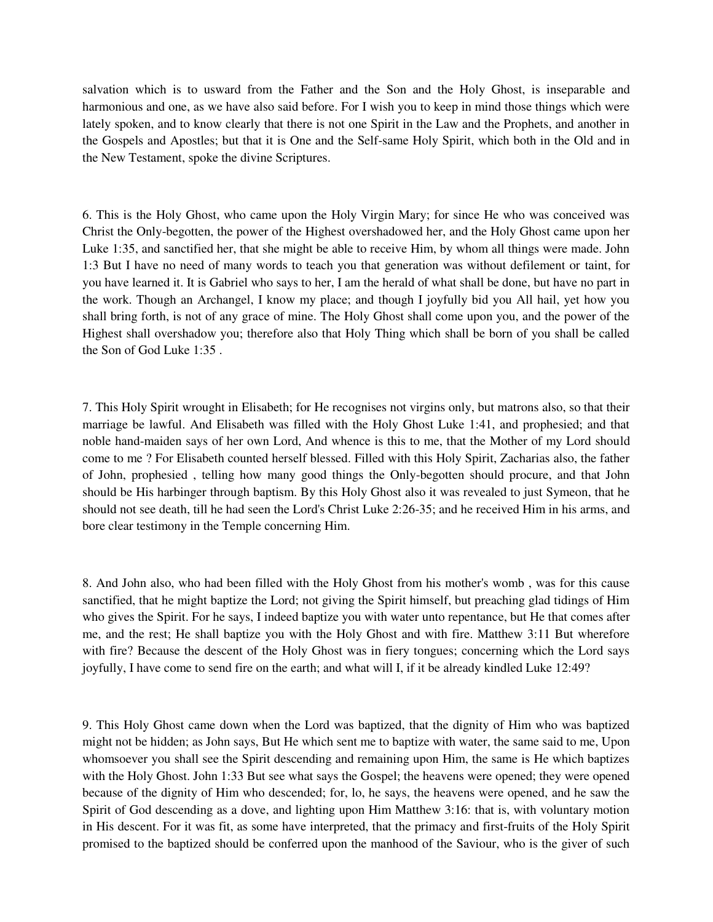salvation which is to usward from the Father and the Son and the Holy Ghost, is inseparable and harmonious and one, as we have also said before. For I wish you to keep in mind those things which were lately spoken, and to know clearly that there is not one Spirit in the Law and the Prophets, and another in the Gospels and Apostles; but that it is One and the Self-same Holy Spirit, which both in the Old and in the New Testament, spoke the divine Scriptures.

6. This is the Holy Ghost, who came upon the Holy Virgin Mary; for since He who was conceived was Christ the Only-begotten, the power of the Highest overshadowed her, and the Holy Ghost came upon her Luke 1:35, and sanctified her, that she might be able to receive Him, by whom all things were made. John 1:3 But I have no need of many words to teach you that generation was without defilement or taint, for you have learned it. It is Gabriel who says to her, I am the herald of what shall be done, but have no part in the work. Though an Archangel, I know my place; and though I joyfully bid you All hail, yet how you shall bring forth, is not of any grace of mine. The Holy Ghost shall come upon you, and the power of the Highest shall overshadow you; therefore also that Holy Thing which shall be born of you shall be called the Son of God Luke 1:35 .

7. This Holy Spirit wrought in Elisabeth; for He recognises not virgins only, but matrons also, so that their marriage be lawful. And Elisabeth was filled with the Holy Ghost Luke 1:41, and prophesied; and that noble hand-maiden says of her own Lord, And whence is this to me, that the Mother of my Lord should come to me ? For Elisabeth counted herself blessed. Filled with this Holy Spirit, Zacharias also, the father of John, prophesied , telling how many good things the Only-begotten should procure, and that John should be His harbinger through baptism. By this Holy Ghost also it was revealed to just Symeon, that he should not see death, till he had seen the Lord's Christ Luke 2:26-35; and he received Him in his arms, and bore clear testimony in the Temple concerning Him.

8. And John also, who had been filled with the Holy Ghost from his mother's womb , was for this cause sanctified, that he might baptize the Lord; not giving the Spirit himself, but preaching glad tidings of Him who gives the Spirit. For he says, I indeed baptize you with water unto repentance, but He that comes after me, and the rest; He shall baptize you with the Holy Ghost and with fire. Matthew 3:11 But wherefore with fire? Because the descent of the Holy Ghost was in fiery tongues; concerning which the Lord says joyfully, I have come to send fire on the earth; and what will I, if it be already kindled Luke 12:49?

9. This Holy Ghost came down when the Lord was baptized, that the dignity of Him who was baptized might not be hidden; as John says, But He which sent me to baptize with water, the same said to me, Upon whomsoever you shall see the Spirit descending and remaining upon Him, the same is He which baptizes with the Holy Ghost. John 1:33 But see what says the Gospel; the heavens were opened; they were opened because of the dignity of Him who descended; for, lo, he says, the heavens were opened, and he saw the Spirit of God descending as a dove, and lighting upon Him Matthew 3:16: that is, with voluntary motion in His descent. For it was fit, as some have interpreted, that the primacy and first-fruits of the Holy Spirit promised to the baptized should be conferred upon the manhood of the Saviour, who is the giver of such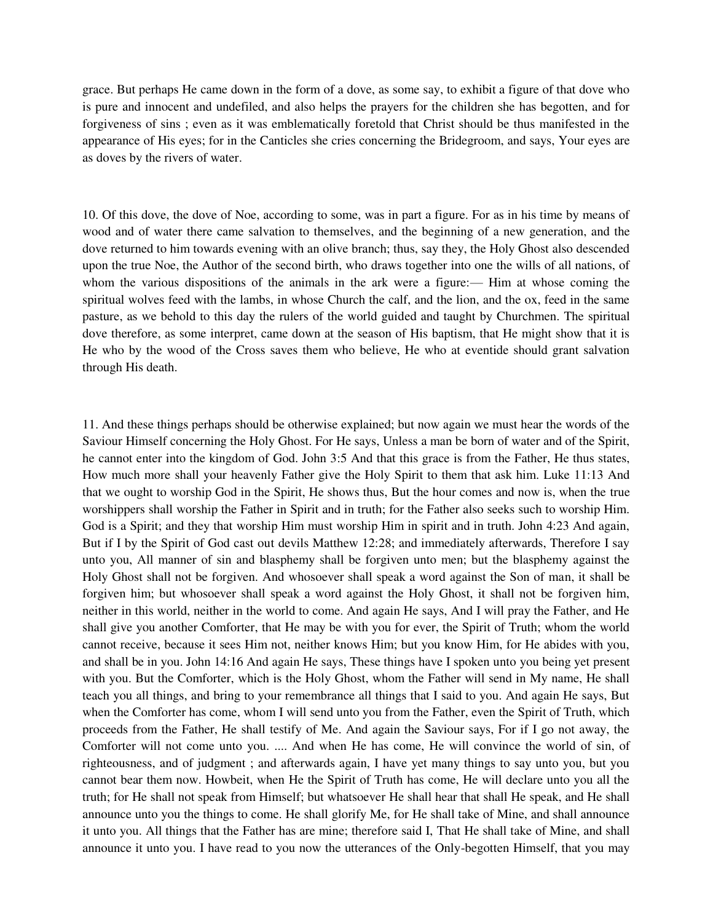grace. But perhaps He came down in the form of a dove, as some say, to exhibit a figure of that dove who is pure and innocent and undefiled, and also helps the prayers for the children she has begotten, and for forgiveness of sins ; even as it was emblematically foretold that Christ should be thus manifested in the appearance of His eyes; for in the Canticles she cries concerning the Bridegroom, and says, Your eyes are as doves by the rivers of water.

10. Of this dove, the dove of Noe, according to some, was in part a figure. For as in his time by means of wood and of water there came salvation to themselves, and the beginning of a new generation, and the dove returned to him towards evening with an olive branch; thus, say they, the Holy Ghost also descended upon the true Noe, the Author of the second birth, who draws together into one the wills of all nations, of whom the various dispositions of the animals in the ark were a figure:— Him at whose coming the spiritual wolves feed with the lambs, in whose Church the calf, and the lion, and the ox, feed in the same pasture, as we behold to this day the rulers of the world guided and taught by Churchmen. The spiritual dove therefore, as some interpret, came down at the season of His baptism, that He might show that it is He who by the wood of the Cross saves them who believe, He who at eventide should grant salvation through His death.

11. And these things perhaps should be otherwise explained; but now again we must hear the words of the Saviour Himself concerning the Holy Ghost. For He says, Unless a man be born of water and of the Spirit, he cannot enter into the kingdom of God. John 3:5 And that this grace is from the Father, He thus states, How much more shall your heavenly Father give the Holy Spirit to them that ask him. Luke 11:13 And that we ought to worship God in the Spirit, He shows thus, But the hour comes and now is, when the true worshippers shall worship the Father in Spirit and in truth; for the Father also seeks such to worship Him. God is a Spirit; and they that worship Him must worship Him in spirit and in truth. John 4:23 And again, But if I by the Spirit of God cast out devils Matthew 12:28; and immediately afterwards, Therefore I say unto you, All manner of sin and blasphemy shall be forgiven unto men; but the blasphemy against the Holy Ghost shall not be forgiven. And whosoever shall speak a word against the Son of man, it shall be forgiven him; but whosoever shall speak a word against the Holy Ghost, it shall not be forgiven him, neither in this world, neither in the world to come. And again He says, And I will pray the Father, and He shall give you another Comforter, that He may be with you for ever, the Spirit of Truth; whom the world cannot receive, because it sees Him not, neither knows Him; but you know Him, for He abides with you, and shall be in you. John 14:16 And again He says, These things have I spoken unto you being yet present with you. But the Comforter, which is the Holy Ghost, whom the Father will send in My name, He shall teach you all things, and bring to your remembrance all things that I said to you. And again He says, But when the Comforter has come, whom I will send unto you from the Father, even the Spirit of Truth, which proceeds from the Father, He shall testify of Me. And again the Saviour says, For if I go not away, the Comforter will not come unto you. .... And when He has come, He will convince the world of sin, of righteousness, and of judgment ; and afterwards again, I have yet many things to say unto you, but you cannot bear them now. Howbeit, when He the Spirit of Truth has come, He will declare unto you all the truth; for He shall not speak from Himself; but whatsoever He shall hear that shall He speak, and He shall announce unto you the things to come. He shall glorify Me, for He shall take of Mine, and shall announce it unto you. All things that the Father has are mine; therefore said I, That He shall take of Mine, and shall announce it unto you. I have read to you now the utterances of the Only-begotten Himself, that you may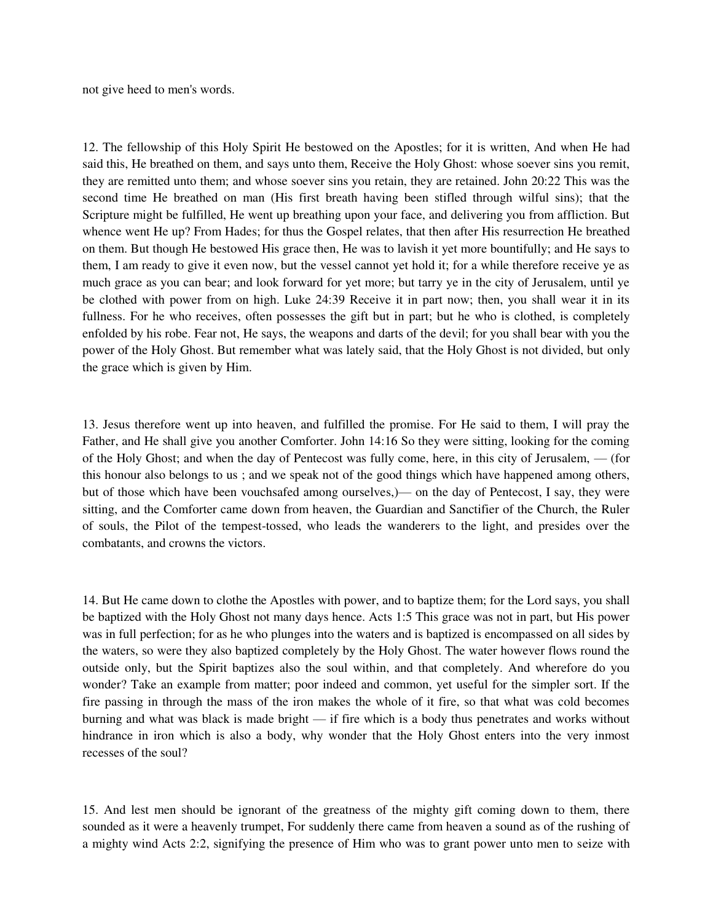not give heed to men's words.

12. The fellowship of this Holy Spirit He bestowed on the Apostles; for it is written, And when He had said this, He breathed on them, and says unto them, Receive the Holy Ghost: whose soever sins you remit, they are remitted unto them; and whose soever sins you retain, they are retained. John 20:22 This was the second time He breathed on man (His first breath having been stifled through wilful sins); that the Scripture might be fulfilled, He went up breathing upon your face, and delivering you from affliction. But whence went He up? From Hades; for thus the Gospel relates, that then after His resurrection He breathed on them. But though He bestowed His grace then, He was to lavish it yet more bountifully; and He says to them, I am ready to give it even now, but the vessel cannot yet hold it; for a while therefore receive ye as much grace as you can bear; and look forward for yet more; but tarry ye in the city of Jerusalem, until ye be clothed with power from on high. Luke 24:39 Receive it in part now; then, you shall wear it in its fullness. For he who receives, often possesses the gift but in part; but he who is clothed, is completely enfolded by his robe. Fear not, He says, the weapons and darts of the devil; for you shall bear with you the power of the Holy Ghost. But remember what was lately said, that the Holy Ghost is not divided, but only the grace which is given by Him.

13. Jesus therefore went up into heaven, and fulfilled the promise. For He said to them, I will pray the Father, and He shall give you another Comforter. John 14:16 So they were sitting, looking for the coming of the Holy Ghost; and when the day of Pentecost was fully come, here, in this city of Jerusalem, — (for this honour also belongs to us ; and we speak not of the good things which have happened among others, but of those which have been vouchsafed among ourselves,)— on the day of Pentecost, I say, they were sitting, and the Comforter came down from heaven, the Guardian and Sanctifier of the Church, the Ruler of souls, the Pilot of the tempest-tossed, who leads the wanderers to the light, and presides over the combatants, and crowns the victors.

14. But He came down to clothe the Apostles with power, and to baptize them; for the Lord says, you shall be baptized with the Holy Ghost not many days hence. Acts 1:5 This grace was not in part, but His power was in full perfection; for as he who plunges into the waters and is baptized is encompassed on all sides by the waters, so were they also baptized completely by the Holy Ghost. The water however flows round the outside only, but the Spirit baptizes also the soul within, and that completely. And wherefore do you wonder? Take an example from matter; poor indeed and common, yet useful for the simpler sort. If the fire passing in through the mass of the iron makes the whole of it fire, so that what was cold becomes burning and what was black is made bright — if fire which is a body thus penetrates and works without hindrance in iron which is also a body, why wonder that the Holy Ghost enters into the very inmost recesses of the soul?

15. And lest men should be ignorant of the greatness of the mighty gift coming down to them, there sounded as it were a heavenly trumpet, For suddenly there came from heaven a sound as of the rushing of a mighty wind Acts 2:2, signifying the presence of Him who was to grant power unto men to seize with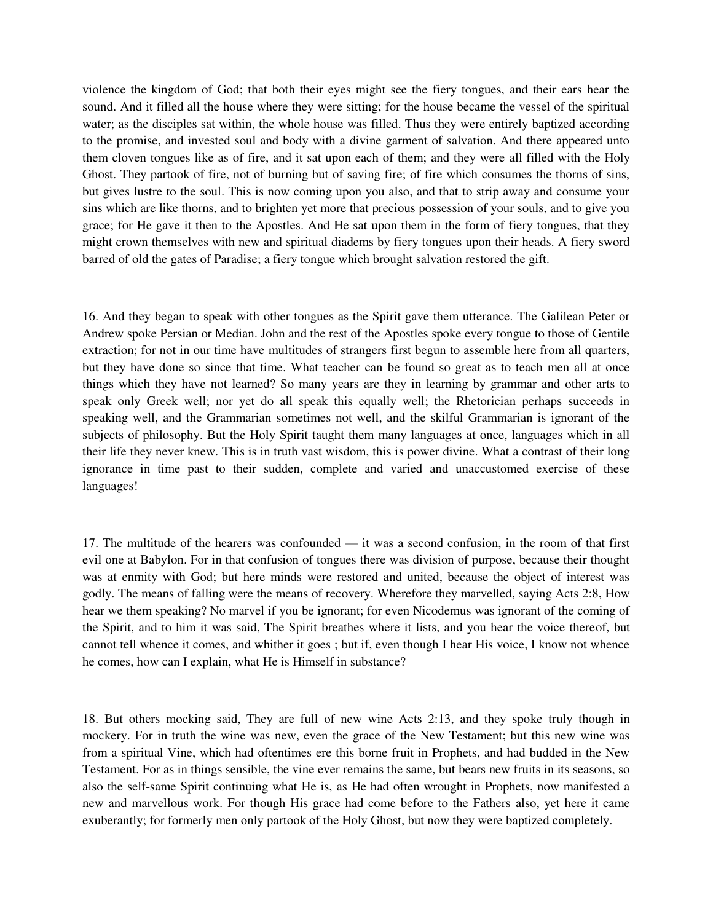violence the kingdom of God; that both their eyes might see the fiery tongues, and their ears hear the sound. And it filled all the house where they were sitting; for the house became the vessel of the spiritual water; as the disciples sat within, the whole house was filled. Thus they were entirely baptized according to the promise, and invested soul and body with a divine garment of salvation. And there appeared unto them cloven tongues like as of fire, and it sat upon each of them; and they were all filled with the Holy Ghost. They partook of fire, not of burning but of saving fire; of fire which consumes the thorns of sins, but gives lustre to the soul. This is now coming upon you also, and that to strip away and consume your sins which are like thorns, and to brighten yet more that precious possession of your souls, and to give you grace; for He gave it then to the Apostles. And He sat upon them in the form of fiery tongues, that they might crown themselves with new and spiritual diadems by fiery tongues upon their heads. A fiery sword barred of old the gates of Paradise; a fiery tongue which brought salvation restored the gift.

16. And they began to speak with other tongues as the Spirit gave them utterance. The Galilean Peter or Andrew spoke Persian or Median. John and the rest of the Apostles spoke every tongue to those of Gentile extraction; for not in our time have multitudes of strangers first begun to assemble here from all quarters, but they have done so since that time. What teacher can be found so great as to teach men all at once things which they have not learned? So many years are they in learning by grammar and other arts to speak only Greek well; nor yet do all speak this equally well; the Rhetorician perhaps succeeds in speaking well, and the Grammarian sometimes not well, and the skilful Grammarian is ignorant of the subjects of philosophy. But the Holy Spirit taught them many languages at once, languages which in all their life they never knew. This is in truth vast wisdom, this is power divine. What a contrast of their long ignorance in time past to their sudden, complete and varied and unaccustomed exercise of these languages!

17. The multitude of the hearers was confounded — it was a second confusion, in the room of that first evil one at Babylon. For in that confusion of tongues there was division of purpose, because their thought was at enmity with God; but here minds were restored and united, because the object of interest was godly. The means of falling were the means of recovery. Wherefore they marvelled, saying Acts 2:8, How hear we them speaking? No marvel if you be ignorant; for even Nicodemus was ignorant of the coming of the Spirit, and to him it was said, The Spirit breathes where it lists, and you hear the voice thereof, but cannot tell whence it comes, and whither it goes ; but if, even though I hear His voice, I know not whence he comes, how can I explain, what He is Himself in substance?

18. But others mocking said, They are full of new wine Acts 2:13, and they spoke truly though in mockery. For in truth the wine was new, even the grace of the New Testament; but this new wine was from a spiritual Vine, which had oftentimes ere this borne fruit in Prophets, and had budded in the New Testament. For as in things sensible, the vine ever remains the same, but bears new fruits in its seasons, so also the self-same Spirit continuing what He is, as He had often wrought in Prophets, now manifested a new and marvellous work. For though His grace had come before to the Fathers also, yet here it came exuberantly; for formerly men only partook of the Holy Ghost, but now they were baptized completely.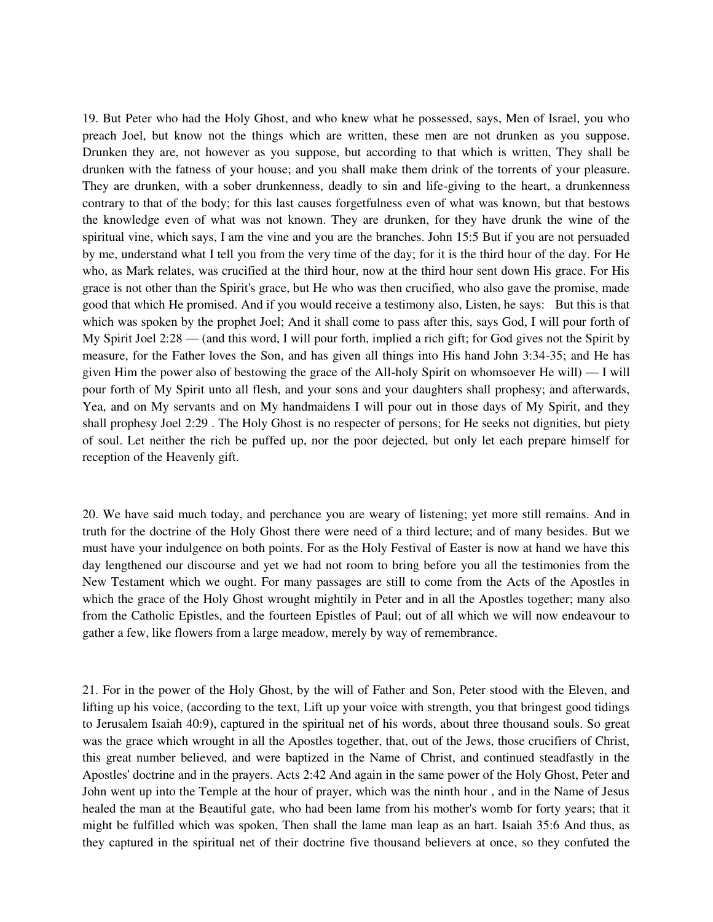19. But Peter who had the Holy Ghost, and who knew what he possessed, says, Men of Israel, you who preach Joel, but know not the things which are written, these men are not drunken as you suppose. Drunken they are, not however as you suppose, but according to that which is written, They shall be drunken with the fatness of your house; and you shall make them drink of the torrents of your pleasure. They are drunken, with a sober drunkenness, deadly to sin and life-giving to the heart, a drunkenness contrary to that of the body; for this last causes forgetfulness even of what was known, but that bestows the knowledge even of what was not known. They are drunken, for they have drunk the wine of the spiritual vine, which says, I am the vine and you are the branches. John 15:5 But if you are not persuaded by me, understand what I tell you from the very time of the day; for it is the third hour of the day. For He who, as Mark relates, was crucified at the third hour, now at the third hour sent down His grace. For His grace is not other than the Spirit's grace, but He who was then crucified, who also gave the promise, made good that which He promised. And if you would receive a testimony also, Listen, he says: But this is that which was spoken by the prophet Joel; And it shall come to pass after this, says God, I will pour forth of My Spirit Joel 2:28 — (and this word, I will pour forth, implied a rich gift; for God gives not the Spirit by measure, for the Father loves the Son, and has given all things into His hand John 3:34-35; and He has given Him the power also of bestowing the grace of the All-holy Spirit on whomsoever He will) — I will pour forth of My Spirit unto all flesh, and your sons and your daughters shall prophesy; and afterwards, Yea, and on My servants and on My handmaidens I will pour out in those days of My Spirit, and they shall prophesy Joel 2:29 . The Holy Ghost is no respecter of persons; for He seeks not dignities, but piety of soul. Let neither the rich be puffed up, nor the poor dejected, but only let each prepare himself for reception of the Heavenly gift.

20. We have said much today, and perchance you are weary of listening; yet more still remains. And in truth for the doctrine of the Holy Ghost there were need of a third lecture; and of many besides. But we must have your indulgence on both points. For as the Holy Festival of Easter is now at hand we have this day lengthened our discourse and yet we had not room to bring before you all the testimonies from the New Testament which we ought. For many passages are still to come from the Acts of the Apostles in which the grace of the Holy Ghost wrought mightily in Peter and in all the Apostles together; many also from the Catholic Epistles, and the fourteen Epistles of Paul; out of all which we will now endeavour to gather a few, like flowers from a large meadow, merely by way of remembrance.

21. For in the power of the Holy Ghost, by the will of Father and Son, Peter stood with the Eleven, and lifting up his voice, (according to the text, Lift up your voice with strength, you that bringest good tidings to Jerusalem Isaiah 40:9), captured in the spiritual net of his words, about three thousand souls. So great was the grace which wrought in all the Apostles together, that, out of the Jews, those crucifiers of Christ, this great number believed, and were baptized in the Name of Christ, and continued steadfastly in the Apostles' doctrine and in the prayers. Acts 2:42 And again in the same power of the Holy Ghost, Peter and John went up into the Temple at the hour of prayer, which was the ninth hour , and in the Name of Jesus healed the man at the Beautiful gate, who had been lame from his mother's womb for forty years; that it might be fulfilled which was spoken, Then shall the lame man leap as an hart. Isaiah 35:6 And thus, as they captured in the spiritual net of their doctrine five thousand believers at once, so they confuted the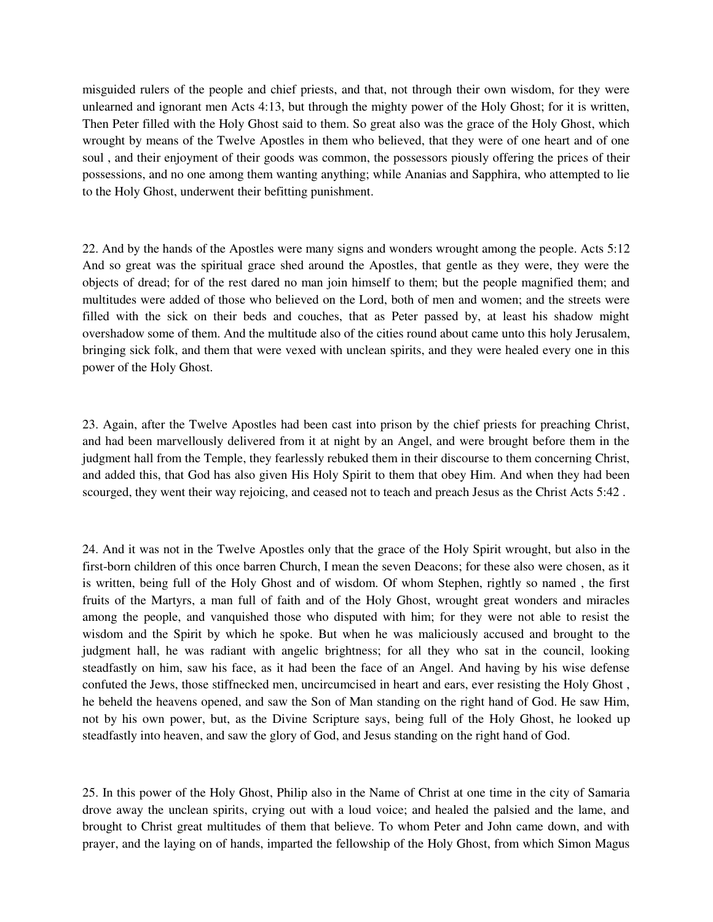misguided rulers of the people and chief priests, and that, not through their own wisdom, for they were unlearned and ignorant men Acts 4:13, but through the mighty power of the Holy Ghost; for it is written, Then Peter filled with the Holy Ghost said to them. So great also was the grace of the Holy Ghost, which wrought by means of the Twelve Apostles in them who believed, that they were of one heart and of one soul , and their enjoyment of their goods was common, the possessors piously offering the prices of their possessions, and no one among them wanting anything; while Ananias and Sapphira, who attempted to lie to the Holy Ghost, underwent their befitting punishment.

22. And by the hands of the Apostles were many signs and wonders wrought among the people. Acts 5:12 And so great was the spiritual grace shed around the Apostles, that gentle as they were, they were the objects of dread; for of the rest dared no man join himself to them; but the people magnified them; and multitudes were added of those who believed on the Lord, both of men and women; and the streets were filled with the sick on their beds and couches, that as Peter passed by, at least his shadow might overshadow some of them. And the multitude also of the cities round about came unto this holy Jerusalem, bringing sick folk, and them that were vexed with unclean spirits, and they were healed every one in this power of the Holy Ghost.

23. Again, after the Twelve Apostles had been cast into prison by the chief priests for preaching Christ, and had been marvellously delivered from it at night by an Angel, and were brought before them in the judgment hall from the Temple, they fearlessly rebuked them in their discourse to them concerning Christ, and added this, that God has also given His Holy Spirit to them that obey Him. And when they had been scourged, they went their way rejoicing, and ceased not to teach and preach Jesus as the Christ Acts 5:42.

24. And it was not in the Twelve Apostles only that the grace of the Holy Spirit wrought, but also in the first-born children of this once barren Church, I mean the seven Deacons; for these also were chosen, as it is written, being full of the Holy Ghost and of wisdom. Of whom Stephen, rightly so named , the first fruits of the Martyrs, a man full of faith and of the Holy Ghost, wrought great wonders and miracles among the people, and vanquished those who disputed with him; for they were not able to resist the wisdom and the Spirit by which he spoke. But when he was maliciously accused and brought to the judgment hall, he was radiant with angelic brightness; for all they who sat in the council, looking steadfastly on him, saw his face, as it had been the face of an Angel. And having by his wise defense confuted the Jews, those stiffnecked men, uncircumcised in heart and ears, ever resisting the Holy Ghost , he beheld the heavens opened, and saw the Son of Man standing on the right hand of God. He saw Him, not by his own power, but, as the Divine Scripture says, being full of the Holy Ghost, he looked up steadfastly into heaven, and saw the glory of God, and Jesus standing on the right hand of God.

25. In this power of the Holy Ghost, Philip also in the Name of Christ at one time in the city of Samaria drove away the unclean spirits, crying out with a loud voice; and healed the palsied and the lame, and brought to Christ great multitudes of them that believe. To whom Peter and John came down, and with prayer, and the laying on of hands, imparted the fellowship of the Holy Ghost, from which Simon Magus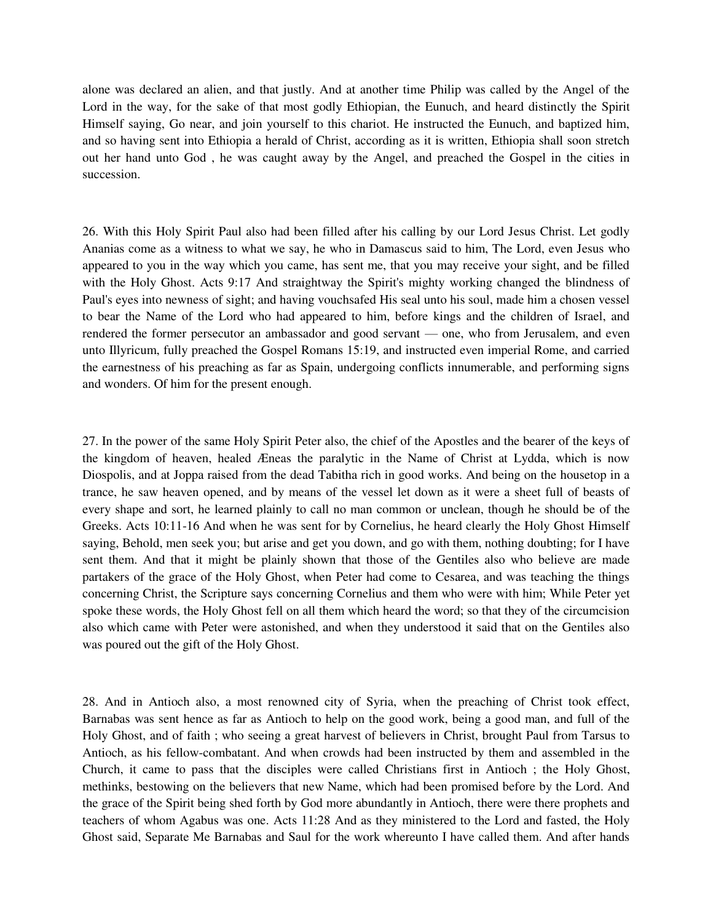alone was declared an alien, and that justly. And at another time Philip was called by the Angel of the Lord in the way, for the sake of that most godly Ethiopian, the Eunuch, and heard distinctly the Spirit Himself saying, Go near, and join yourself to this chariot. He instructed the Eunuch, and baptized him, and so having sent into Ethiopia a herald of Christ, according as it is written, Ethiopia shall soon stretch out her hand unto God , he was caught away by the Angel, and preached the Gospel in the cities in succession.

26. With this Holy Spirit Paul also had been filled after his calling by our Lord Jesus Christ. Let godly Ananias come as a witness to what we say, he who in Damascus said to him, The Lord, even Jesus who appeared to you in the way which you came, has sent me, that you may receive your sight, and be filled with the Holy Ghost. Acts 9:17 And straightway the Spirit's mighty working changed the blindness of Paul's eyes into newness of sight; and having vouchsafed His seal unto his soul, made him a chosen vessel to bear the Name of the Lord who had appeared to him, before kings and the children of Israel, and rendered the former persecutor an ambassador and good servant — one, who from Jerusalem, and even unto Illyricum, fully preached the Gospel Romans 15:19, and instructed even imperial Rome, and carried the earnestness of his preaching as far as Spain, undergoing conflicts innumerable, and performing signs and wonders. Of him for the present enough.

27. In the power of the same Holy Spirit Peter also, the chief of the Apostles and the bearer of the keys of the kingdom of heaven, healed Æneas the paralytic in the Name of Christ at Lydda, which is now Diospolis, and at Joppa raised from the dead Tabitha rich in good works. And being on the housetop in a trance, he saw heaven opened, and by means of the vessel let down as it were a sheet full of beasts of every shape and sort, he learned plainly to call no man common or unclean, though he should be of the Greeks. Acts 10:11-16 And when he was sent for by Cornelius, he heard clearly the Holy Ghost Himself saying, Behold, men seek you; but arise and get you down, and go with them, nothing doubting; for I have sent them. And that it might be plainly shown that those of the Gentiles also who believe are made partakers of the grace of the Holy Ghost, when Peter had come to Cesarea, and was teaching the things concerning Christ, the Scripture says concerning Cornelius and them who were with him; While Peter yet spoke these words, the Holy Ghost fell on all them which heard the word; so that they of the circumcision also which came with Peter were astonished, and when they understood it said that on the Gentiles also was poured out the gift of the Holy Ghost.

28. And in Antioch also, a most renowned city of Syria, when the preaching of Christ took effect, Barnabas was sent hence as far as Antioch to help on the good work, being a good man, and full of the Holy Ghost, and of faith ; who seeing a great harvest of believers in Christ, brought Paul from Tarsus to Antioch, as his fellow-combatant. And when crowds had been instructed by them and assembled in the Church, it came to pass that the disciples were called Christians first in Antioch ; the Holy Ghost, methinks, bestowing on the believers that new Name, which had been promised before by the Lord. And the grace of the Spirit being shed forth by God more abundantly in Antioch, there were there prophets and teachers of whom Agabus was one. Acts 11:28 And as they ministered to the Lord and fasted, the Holy Ghost said, Separate Me Barnabas and Saul for the work whereunto I have called them. And after hands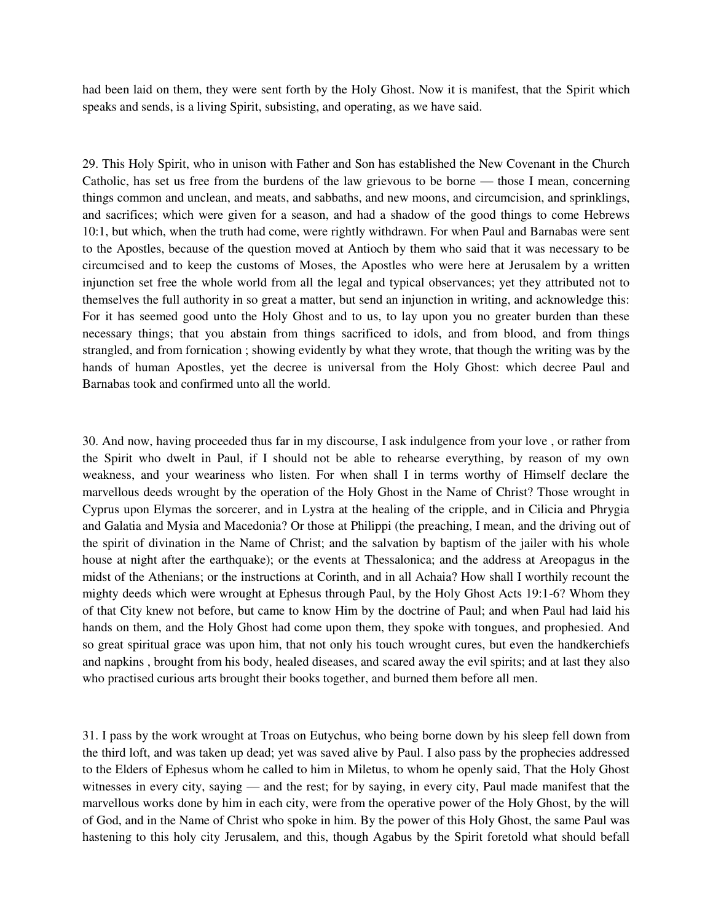had been laid on them, they were sent forth by the Holy Ghost. Now it is manifest, that the Spirit which speaks and sends, is a living Spirit, subsisting, and operating, as we have said.

29. This Holy Spirit, who in unison with Father and Son has established the New Covenant in the Church Catholic, has set us free from the burdens of the law grievous to be borne — those I mean, concerning things common and unclean, and meats, and sabbaths, and new moons, and circumcision, and sprinklings, and sacrifices; which were given for a season, and had a shadow of the good things to come Hebrews 10:1, but which, when the truth had come, were rightly withdrawn. For when Paul and Barnabas were sent to the Apostles, because of the question moved at Antioch by them who said that it was necessary to be circumcised and to keep the customs of Moses, the Apostles who were here at Jerusalem by a written injunction set free the whole world from all the legal and typical observances; yet they attributed not to themselves the full authority in so great a matter, but send an injunction in writing, and acknowledge this: For it has seemed good unto the Holy Ghost and to us, to lay upon you no greater burden than these necessary things; that you abstain from things sacrificed to idols, and from blood, and from things strangled, and from fornication ; showing evidently by what they wrote, that though the writing was by the hands of human Apostles, yet the decree is universal from the Holy Ghost: which decree Paul and Barnabas took and confirmed unto all the world.

30. And now, having proceeded thus far in my discourse, I ask indulgence from your love , or rather from the Spirit who dwelt in Paul, if I should not be able to rehearse everything, by reason of my own weakness, and your weariness who listen. For when shall I in terms worthy of Himself declare the marvellous deeds wrought by the operation of the Holy Ghost in the Name of Christ? Those wrought in Cyprus upon Elymas the sorcerer, and in Lystra at the healing of the cripple, and in Cilicia and Phrygia and Galatia and Mysia and Macedonia? Or those at Philippi (the preaching, I mean, and the driving out of the spirit of divination in the Name of Christ; and the salvation by baptism of the jailer with his whole house at night after the earthquake); or the events at Thessalonica; and the address at Areopagus in the midst of the Athenians; or the instructions at Corinth, and in all Achaia? How shall I worthily recount the mighty deeds which were wrought at Ephesus through Paul, by the Holy Ghost Acts 19:1-6? Whom they of that City knew not before, but came to know Him by the doctrine of Paul; and when Paul had laid his hands on them, and the Holy Ghost had come upon them, they spoke with tongues, and prophesied. And so great spiritual grace was upon him, that not only his touch wrought cures, but even the handkerchiefs and napkins , brought from his body, healed diseases, and scared away the evil spirits; and at last they also who practised curious arts brought their books together, and burned them before all men.

31. I pass by the work wrought at Troas on Eutychus, who being borne down by his sleep fell down from the third loft, and was taken up dead; yet was saved alive by Paul. I also pass by the prophecies addressed to the Elders of Ephesus whom he called to him in Miletus, to whom he openly said, That the Holy Ghost witnesses in every city, saying — and the rest; for by saying, in every city, Paul made manifest that the marvellous works done by him in each city, were from the operative power of the Holy Ghost, by the will of God, and in the Name of Christ who spoke in him. By the power of this Holy Ghost, the same Paul was hastening to this holy city Jerusalem, and this, though Agabus by the Spirit foretold what should befall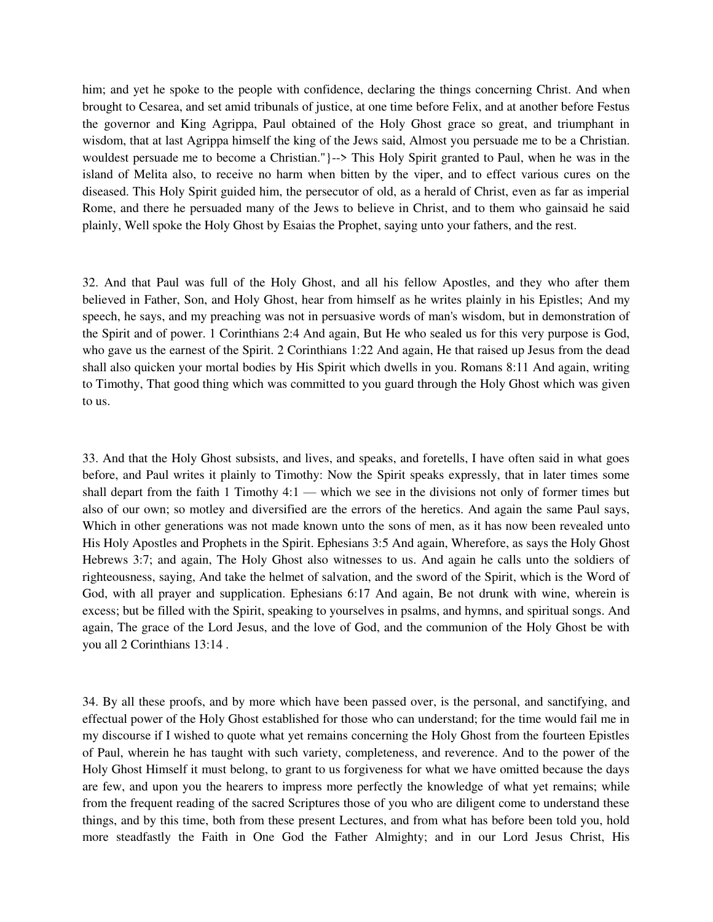him; and yet he spoke to the people with confidence, declaring the things concerning Christ. And when brought to Cesarea, and set amid tribunals of justice, at one time before Felix, and at another before Festus the governor and King Agrippa, Paul obtained of the Holy Ghost grace so great, and triumphant in wisdom, that at last Agrippa himself the king of the Jews said, Almost you persuade me to be a Christian. wouldest persuade me to become a Christian."}--> This Holy Spirit granted to Paul, when he was in the island of Melita also, to receive no harm when bitten by the viper, and to effect various cures on the diseased. This Holy Spirit guided him, the persecutor of old, as a herald of Christ, even as far as imperial Rome, and there he persuaded many of the Jews to believe in Christ, and to them who gainsaid he said plainly, Well spoke the Holy Ghost by Esaias the Prophet, saying unto your fathers, and the rest.

32. And that Paul was full of the Holy Ghost, and all his fellow Apostles, and they who after them believed in Father, Son, and Holy Ghost, hear from himself as he writes plainly in his Epistles; And my speech, he says, and my preaching was not in persuasive words of man's wisdom, but in demonstration of the Spirit and of power. 1 Corinthians 2:4 And again, But He who sealed us for this very purpose is God, who gave us the earnest of the Spirit. 2 Corinthians 1:22 And again, He that raised up Jesus from the dead shall also quicken your mortal bodies by His Spirit which dwells in you. Romans 8:11 And again, writing to Timothy, That good thing which was committed to you guard through the Holy Ghost which was given to us.

33. And that the Holy Ghost subsists, and lives, and speaks, and foretells, I have often said in what goes before, and Paul writes it plainly to Timothy: Now the Spirit speaks expressly, that in later times some shall depart from the faith 1 Timothy 4:1 — which we see in the divisions not only of former times but also of our own; so motley and diversified are the errors of the heretics. And again the same Paul says, Which in other generations was not made known unto the sons of men, as it has now been revealed unto His Holy Apostles and Prophets in the Spirit. Ephesians 3:5 And again, Wherefore, as says the Holy Ghost Hebrews 3:7; and again, The Holy Ghost also witnesses to us. And again he calls unto the soldiers of righteousness, saying, And take the helmet of salvation, and the sword of the Spirit, which is the Word of God, with all prayer and supplication. Ephesians 6:17 And again, Be not drunk with wine, wherein is excess; but be filled with the Spirit, speaking to yourselves in psalms, and hymns, and spiritual songs. And again, The grace of the Lord Jesus, and the love of God, and the communion of the Holy Ghost be with you all 2 Corinthians 13:14 .

34. By all these proofs, and by more which have been passed over, is the personal, and sanctifying, and effectual power of the Holy Ghost established for those who can understand; for the time would fail me in my discourse if I wished to quote what yet remains concerning the Holy Ghost from the fourteen Epistles of Paul, wherein he has taught with such variety, completeness, and reverence. And to the power of the Holy Ghost Himself it must belong, to grant to us forgiveness for what we have omitted because the days are few, and upon you the hearers to impress more perfectly the knowledge of what yet remains; while from the frequent reading of the sacred Scriptures those of you who are diligent come to understand these things, and by this time, both from these present Lectures, and from what has before been told you, hold more steadfastly the Faith in One God the Father Almighty; and in our Lord Jesus Christ, His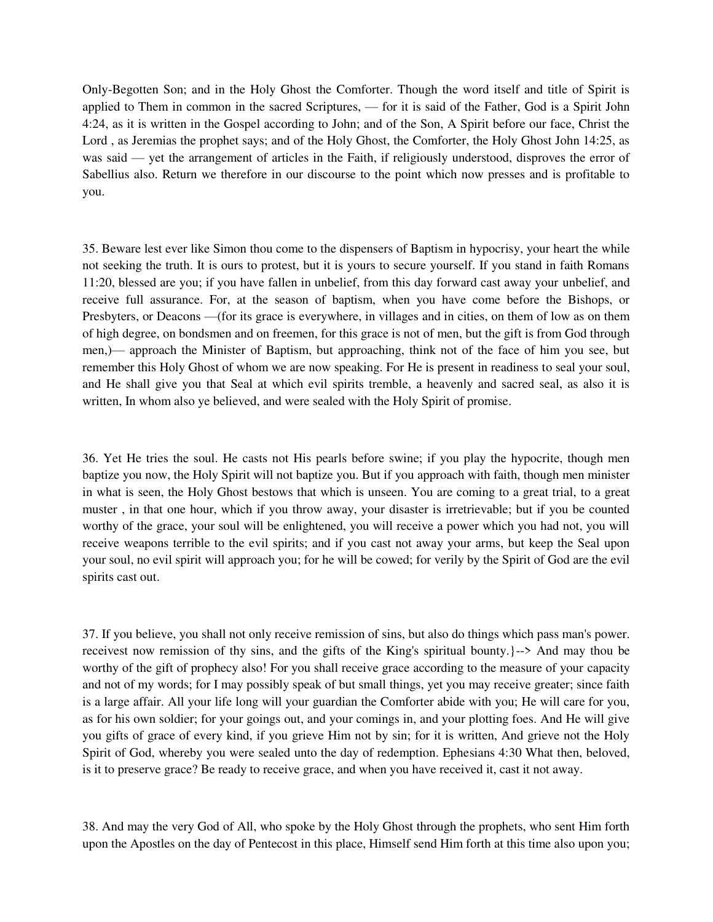Only-Begotten Son; and in the Holy Ghost the Comforter. Though the word itself and title of Spirit is applied to Them in common in the sacred Scriptures, — for it is said of the Father, God is a Spirit John 4:24, as it is written in the Gospel according to John; and of the Son, A Spirit before our face, Christ the Lord , as Jeremias the prophet says; and of the Holy Ghost, the Comforter, the Holy Ghost John 14:25, as was said — yet the arrangement of articles in the Faith, if religiously understood, disproves the error of Sabellius also. Return we therefore in our discourse to the point which now presses and is profitable to you.

35. Beware lest ever like Simon thou come to the dispensers of Baptism in hypocrisy, your heart the while not seeking the truth. It is ours to protest, but it is yours to secure yourself. If you stand in faith Romans 11:20, blessed are you; if you have fallen in unbelief, from this day forward cast away your unbelief, and receive full assurance. For, at the season of baptism, when you have come before the Bishops, or Presbyters, or Deacons —(for its grace is everywhere, in villages and in cities, on them of low as on them of high degree, on bondsmen and on freemen, for this grace is not of men, but the gift is from God through men,)— approach the Minister of Baptism, but approaching, think not of the face of him you see, but remember this Holy Ghost of whom we are now speaking. For He is present in readiness to seal your soul, and He shall give you that Seal at which evil spirits tremble, a heavenly and sacred seal, as also it is written, In whom also ye believed, and were sealed with the Holy Spirit of promise.

36. Yet He tries the soul. He casts not His pearls before swine; if you play the hypocrite, though men baptize you now, the Holy Spirit will not baptize you. But if you approach with faith, though men minister in what is seen, the Holy Ghost bestows that which is unseen. You are coming to a great trial, to a great muster , in that one hour, which if you throw away, your disaster is irretrievable; but if you be counted worthy of the grace, your soul will be enlightened, you will receive a power which you had not, you will receive weapons terrible to the evil spirits; and if you cast not away your arms, but keep the Seal upon your soul, no evil spirit will approach you; for he will be cowed; for verily by the Spirit of God are the evil spirits cast out.

37. If you believe, you shall not only receive remission of sins, but also do things which pass man's power. receivest now remission of thy sins, and the gifts of the King's spiritual bounty.}--> And may thou be worthy of the gift of prophecy also! For you shall receive grace according to the measure of your capacity and not of my words; for I may possibly speak of but small things, yet you may receive greater; since faith is a large affair. All your life long will your guardian the Comforter abide with you; He will care for you, as for his own soldier; for your goings out, and your comings in, and your plotting foes. And He will give you gifts of grace of every kind, if you grieve Him not by sin; for it is written, And grieve not the Holy Spirit of God, whereby you were sealed unto the day of redemption. Ephesians 4:30 What then, beloved, is it to preserve grace? Be ready to receive grace, and when you have received it, cast it not away.

38. And may the very God of All, who spoke by the Holy Ghost through the prophets, who sent Him forth upon the Apostles on the day of Pentecost in this place, Himself send Him forth at this time also upon you;